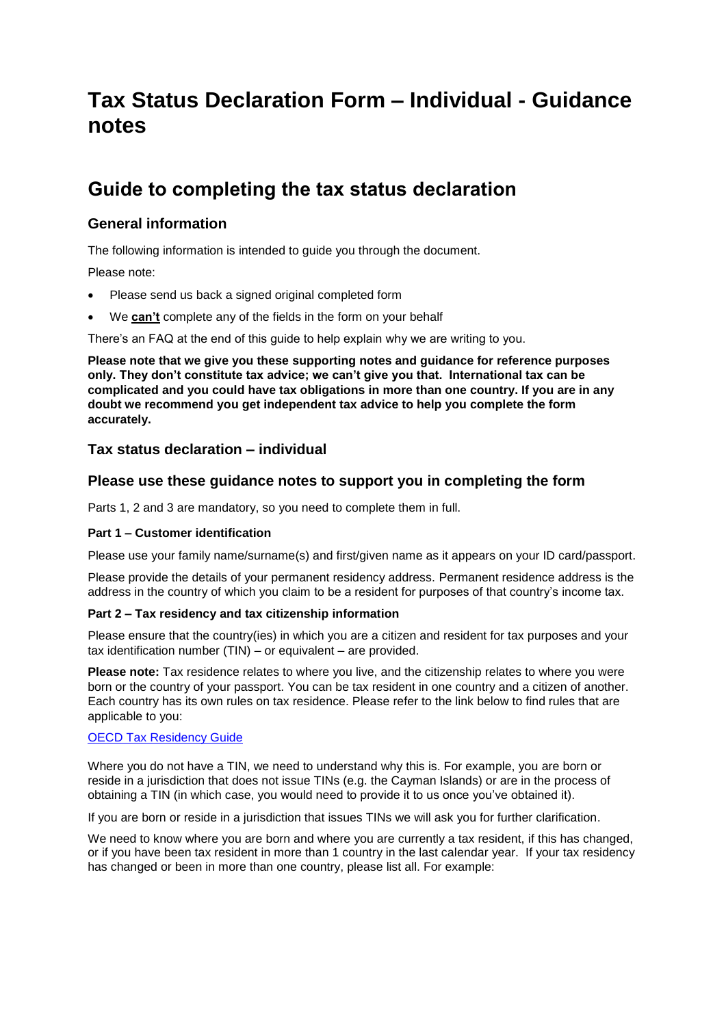# **Tax Status Declaration Form – Individual - Guidance notes**

# **Guide to completing the tax status declaration**

## **General information**

The following information is intended to guide you through the document.

Please note:

- Please send us back a signed original completed form
- We **can't** complete any of the fields in the form on your behalf

There's an FAQ at the end of this guide to help explain why we are writing to you.

**Please note that we give you these supporting notes and guidance for reference purposes only. They don't constitute tax advice; we can't give you that. International tax can be complicated and you could have tax obligations in more than one country. If you are in any doubt we recommend you get independent tax advice to help you complete the form accurately.**

## **Tax status declaration – individual**

## **Please use these guidance notes to support you in completing the form**

Parts 1, 2 and 3 are mandatory, so you need to complete them in full.

#### **Part 1 – Customer identification**

Please use your family name/surname(s) and first/given name as it appears on your ID card/passport.

Please provide the details of your permanent residency address. Permanent residence address is the address in the country of which you claim to be a resident for purposes of that country's income tax.

#### **Part 2 – Tax residency and tax citizenship information**

Please ensure that the country(ies) in which you are a citizen and resident for tax purposes and your tax identification number (TIN) – or equivalent – are provided.

**Please note:** Tax residence relates to where you live, and the citizenship relates to where you were born or the country of your passport. You can be tax resident in one country and a citizen of another. Each country has its own rules on tax residence. Please refer to the link below to find rules that are applicable to you:

#### OECD Tax [Residency Guide](http://www.oecd.org/tax/automatic-exchange/crs-implementation-and-assistance/tax-residency/#d.en.347760)

Where you do not have a TIN, we need to understand why this is. For example, you are born or reside in a jurisdiction that does not issue TINs (e.g. the Cayman Islands) or are in the process of obtaining a TIN (in which case, you would need to provide it to us once you've obtained it).

If you are born or reside in a jurisdiction that issues TINs we will ask you for further clarification.

We need to know where you are born and where you are currently a tax resident, if this has changed, or if you have been tax resident in more than 1 country in the last calendar year. If your tax residency has changed or been in more than one country, please list all. For example: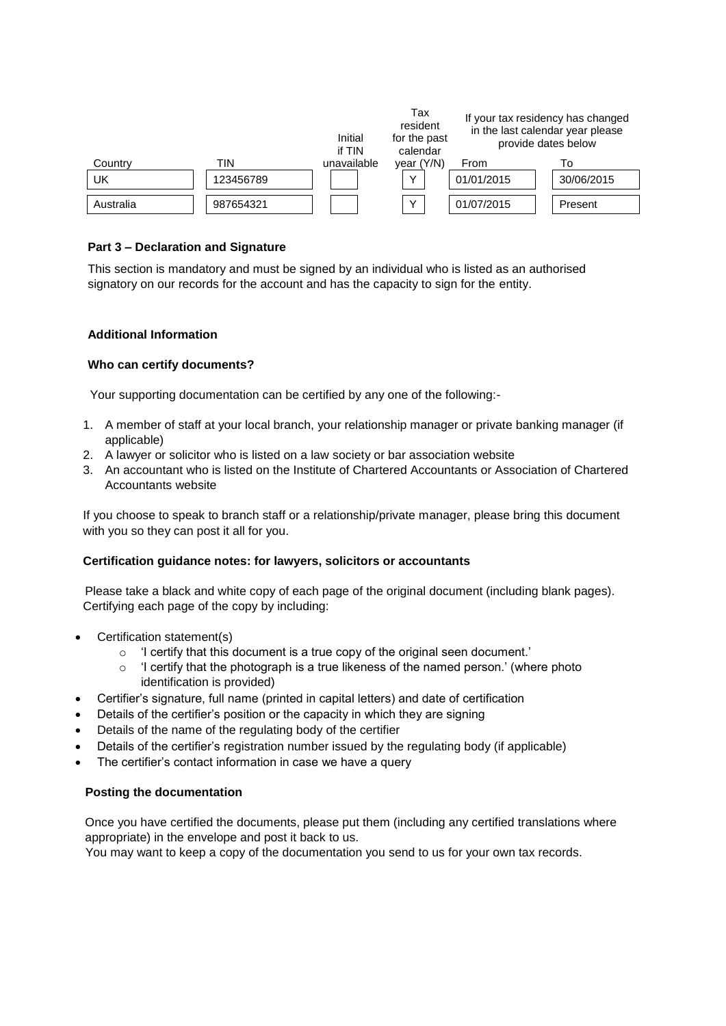|           |           | Initial<br>if TIN | Tax<br>resident<br>for the past<br>calendar | If your tax residency has changed<br>in the last calendar year please<br>provide dates below |            |
|-----------|-----------|-------------------|---------------------------------------------|----------------------------------------------------------------------------------------------|------------|
| Country   | TIN       | unavailable       | year (Y/N)                                  | From                                                                                         | IΩ         |
| UK        | 123456789 |                   | $\checkmark$                                | 01/01/2015                                                                                   | 30/06/2015 |
| Australia | 987654321 |                   | $\sqrt{ }$                                  | 01/07/2015                                                                                   | Present    |

### **Part 3 – Declaration and Signature**

This section is mandatory and must be signed by an individual who is listed as an authorised signatory on our records for the account and has the capacity to sign for the entity.

#### **Additional Information**

#### **Who can certify documents?**

Your supporting documentation can be certified by any one of the following:-

- 1. A member of staff at your local branch, your relationship manager or private banking manager (if applicable)
- 2. A lawyer or solicitor who is listed on a law society or bar association website
- 3. An accountant who is listed on the Institute of Chartered Accountants or Association of Chartered Accountants website

If you choose to speak to branch staff or a relationship/private manager, please bring this document with you so they can post it all for you.

#### **Certification guidance notes: for lawyers, solicitors or accountants**

Please take a black and white copy of each page of the original document (including blank pages). Certifying each page of the copy by including:

- Certification statement(s)
	- o 'I certify that this document is a true copy of the original seen document.'
	- $\circ$  'I certify that the photograph is a true likeness of the named person.' (where photo identification is provided)
- Certifier's signature, full name (printed in capital letters) and date of certification
- Details of the certifier's position or the capacity in which they are signing
- Details of the name of the regulating body of the certifier
- Details of the certifier's registration number issued by the regulating body (if applicable)
- The certifier's contact information in case we have a query

#### **Posting the documentation**

Once you have certified the documents, please put them (including any certified translations where appropriate) in the envelope and post it back to us.

You may want to keep a copy of the documentation you send to us for your own tax records.